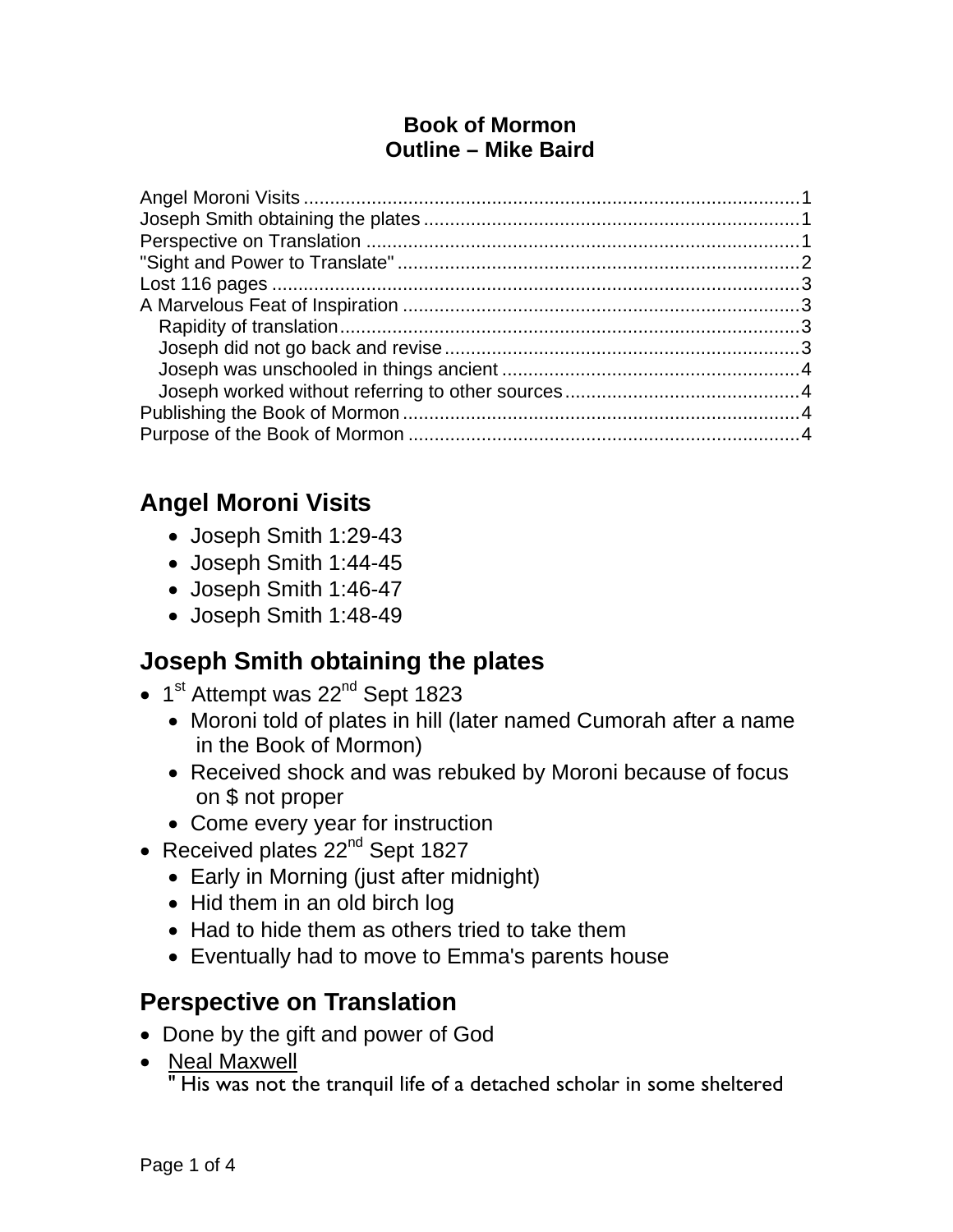#### **Book of Mormon Outline – Mike Baird**

## **Angel Moroni Visits**

- Joseph Smith 1:29-43
- Joseph Smith 1:44-45
- Joseph Smith 1:46-47
- Joseph Smith 1:48-49

## **Joseph Smith obtaining the plates**

- $\bullet$  1<sup>st</sup> Attempt was 22<sup>nd</sup> Sept 1823
	- Moroni told of plates in hill (later named Cumorah after a name in the Book of Mormon)
	- Received shock and was rebuked by Moroni because of focus on \$ not proper
	- Come every year for instruction
- Received plates 22<sup>nd</sup> Sept 1827
	- Early in Morning (just after midnight)
	- Hid them in an old birch log
	- Had to hide them as others tried to take them
	- Eventually had to move to Emma's parents house

### **Perspective on Translation**

- Done by the gift and power of God
- Neal Maxwell

" His was not the tranquil life of a detached scholar in some sheltered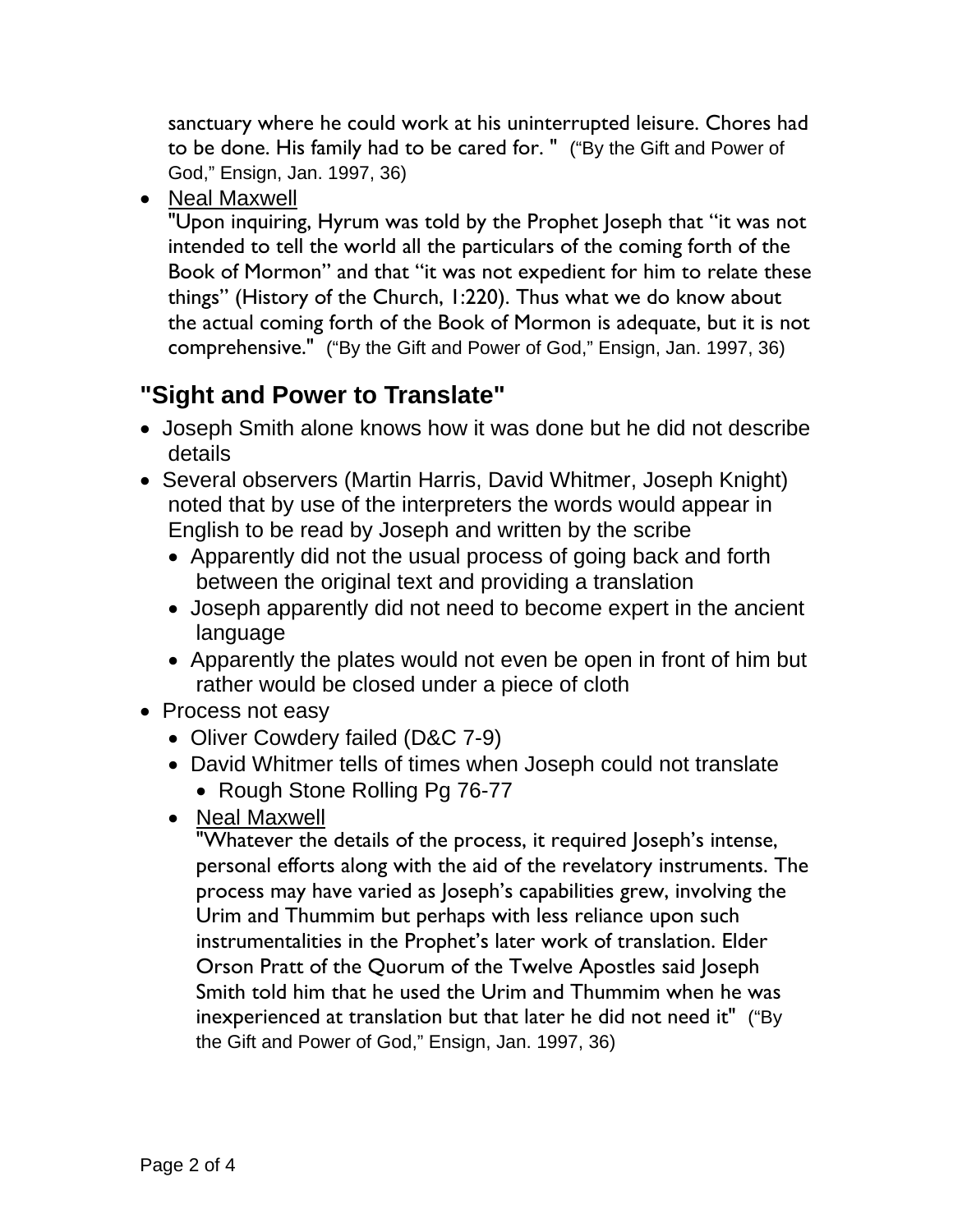sanctuary where he could work at his uninterrupted leisure. Chores had to be done. His family had to be cared for. " ("By the Gift and Power of God," Ensign, Jan. 1997, 36)

• Neal Maxwell

"Upon inquiring, Hyrum was told by the Prophet Joseph that "it was not intended to tell the world all the particulars of the coming forth of the Book of Mormon" and that "it was not expedient for him to relate these things" (History of the Church, 1:220). Thus what we do know about the actual coming forth of the Book of Mormon is adequate, but it is not comprehensive." ("By the Gift and Power of God," Ensign, Jan. 1997, 36)

## **"Sight and Power to Translate"**

- Joseph Smith alone knows how it was done but he did not describe details
- Several observers (Martin Harris, David Whitmer, Joseph Knight) noted that by use of the interpreters the words would appear in English to be read by Joseph and written by the scribe
	- Apparently did not the usual process of going back and forth between the original text and providing a translation
	- Joseph apparently did not need to become expert in the ancient language
	- Apparently the plates would not even be open in front of him but rather would be closed under a piece of cloth
- Process not easy
	- Oliver Cowdery failed (D&C 7-9)
	- David Whitmer tells of times when Joseph could not translate
		- Rough Stone Rolling Pg 76-77
	- Neal Maxwell

"Whatever the details of the process, it required Joseph's intense, personal efforts along with the aid of the revelatory instruments. The process may have varied as Joseph's capabilities grew, involving the Urim and Thummim but perhaps with less reliance upon such instrumentalities in the Prophet's later work of translation. Elder Orson Pratt of the Quorum of the Twelve Apostles said Joseph Smith told him that he used the Urim and Thummim when he was inexperienced at translation but that later he did not need it" ("By the Gift and Power of God," Ensign, Jan. 1997, 36)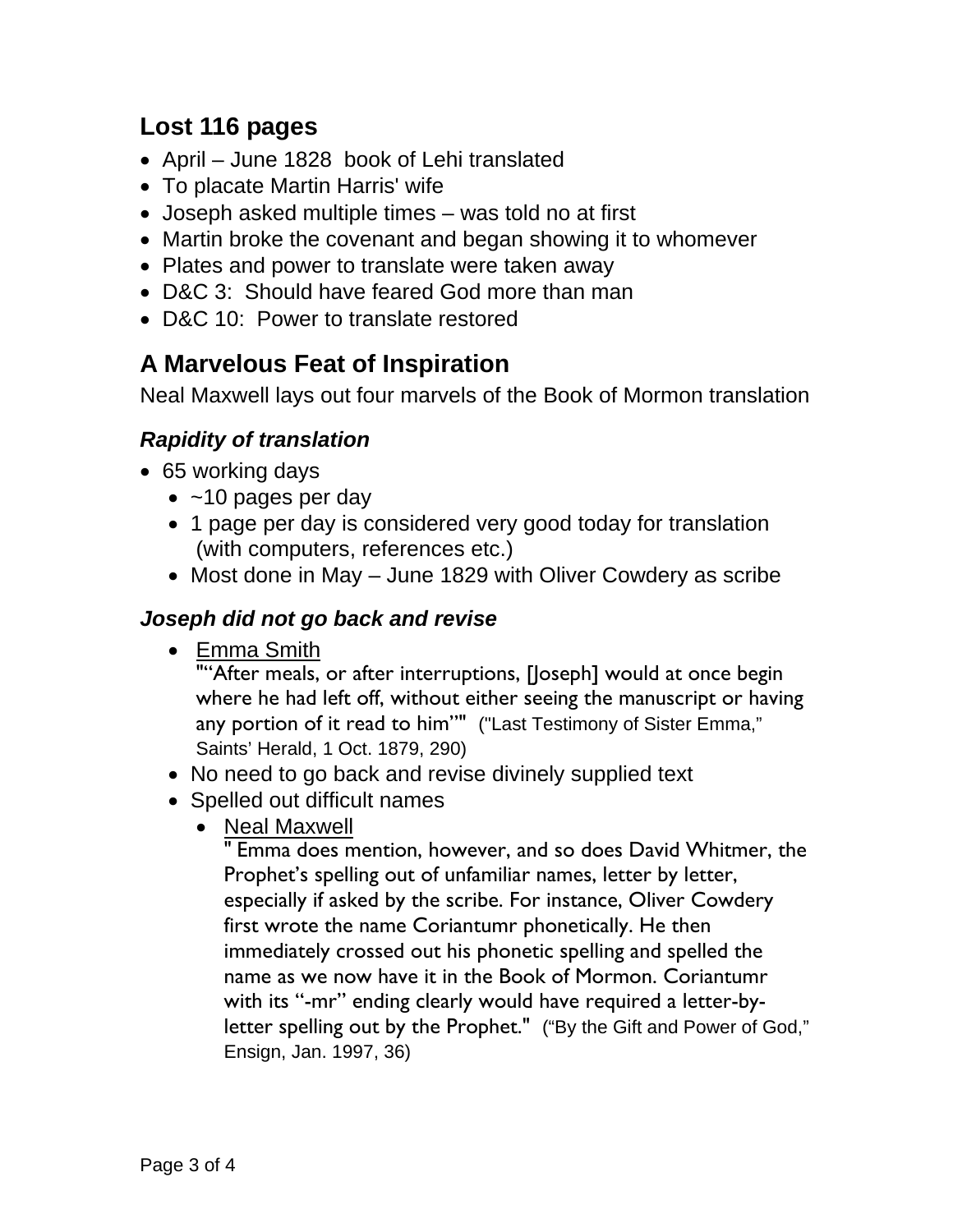## **Lost 116 pages**

- April June 1828 book of Lehi translated
- To placate Martin Harris' wife
- Joseph asked multiple times was told no at first
- Martin broke the covenant and began showing it to whomever
- Plates and power to translate were taken away
- D&C 3: Should have feared God more than man
- D&C 10: Power to translate restored

# **A Marvelous Feat of Inspiration**

Neal Maxwell lays out four marvels of the Book of Mormon translation

### *Rapidity of translation*

- 65 working days
	- $\bullet$  ~10 pages per day
	- 1 page per day is considered very good today for translation (with computers, references etc.)
	- Most done in May June 1829 with Oliver Cowdery as scribe

#### *Joseph did not go back and revise*

• Emma Smith

""After meals, or after interruptions, [Joseph] would at once begin where he had left off, without either seeing the manuscript or having any portion of it read to him"" ("Last Testimony of Sister Emma," Saints' Herald, 1 Oct. 1879, 290)

- No need to go back and revise divinely supplied text
- Spelled out difficult names
	- Neal Maxwell

" Emma does mention, however, and so does David Whitmer, the Prophet's spelling out of unfamiliar names, letter by letter, especially if asked by the scribe. For instance, Oliver Cowdery first wrote the name Coriantumr phonetically. He then immediately crossed out his phonetic spelling and spelled the name as we now have it in the Book of Mormon. Coriantumr with its "-mr" ending clearly would have required a letter-byletter spelling out by the Prophet." ("By the Gift and Power of God," Ensign, Jan. 1997, 36)